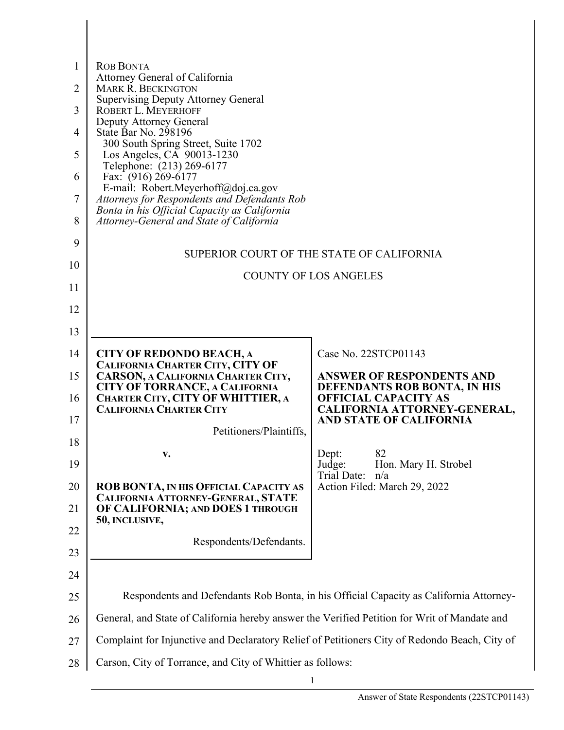| <b>ROB BONTA</b><br>1                                                                                                                                 |  |
|-------------------------------------------------------------------------------------------------------------------------------------------------------|--|
| Attorney General of California<br>$\overline{2}$<br><b>MARK R. BECKINGTON</b>                                                                         |  |
| <b>Supervising Deputy Attorney General</b><br>3<br>ROBERT L. MEYERHOFF                                                                                |  |
| Deputy Attorney General<br>State Bar No. 298196<br>4                                                                                                  |  |
| 300 South Spring Street, Suite 1702<br>5<br>Los Angeles, CA 90013-1230                                                                                |  |
| Telephone: (213) 269-6177<br>Fax: (916) 269-6177<br>6                                                                                                 |  |
| E-mail: Robert.Meyerhoff@doj.ca.gov<br>7<br>Attorneys for Respondents and Defendants Rob                                                              |  |
| Bonta in his Official Capacity as California<br>8<br>Attorney-General and State of California                                                         |  |
| 9<br>SUPERIOR COURT OF THE STATE OF CALIFORNIA                                                                                                        |  |
| 10<br><b>COUNTY OF LOS ANGELES</b>                                                                                                                    |  |
| 11                                                                                                                                                    |  |
| 12                                                                                                                                                    |  |
| 13                                                                                                                                                    |  |
| Case No. 22STCP01143<br>14<br><b>CITY OF REDONDO BEACH, A</b><br>CALIFORNIA CHARTER CITY, CITY OF                                                     |  |
| 15<br>CARSON, A CALIFORNIA CHARTER CITY,<br><b>ANSWER OF RESPONDENTS AND</b><br><b>CITY OF TORRANCE, A CALIFORNIA</b><br>DEFENDANTS ROB BONTA, IN HIS |  |
| CHARTER CITY, CITY OF WHITTIER, A<br>16<br><b>OFFICIAL CAPACITY AS</b><br><b>CALIFORNIA CHARTER CITY</b><br>CALIFORNIA ATTORNEY-GENERAL,              |  |
| 17<br>AND STATE OF CALIFORNIA<br>Petitioners/Plaintiffs.                                                                                              |  |
| 18<br>82<br>Dept:<br>V.                                                                                                                               |  |
| 19<br>Hon. Mary H. Strobel<br>Judge:<br>Trial Date:<br>n/a                                                                                            |  |
| 20<br>Action Filed: March 29, 2022<br>ROB BONTA, IN HIS OFFICIAL CAPACITY AS<br>CALIFORNIA ATTORNEY-GENERAL, STATE                                    |  |
| OF CALIFORNIA; AND DOES 1 THROUGH<br>21<br>50, INCLUSIVE,                                                                                             |  |
| 22<br>Respondents/Defendants.                                                                                                                         |  |
| 23                                                                                                                                                    |  |
| 24<br>Respondents and Defendants Rob Bonta, in his Official Capacity as California Attorney-<br>25                                                    |  |
| General, and State of California hereby answer the Verified Petition for Writ of Mandate and<br>26                                                    |  |
| Complaint for Injunctive and Declaratory Relief of Petitioners City of Redondo Beach, City of<br>27                                                   |  |
| Carson, City of Torrance, and City of Whittier as follows:<br>28                                                                                      |  |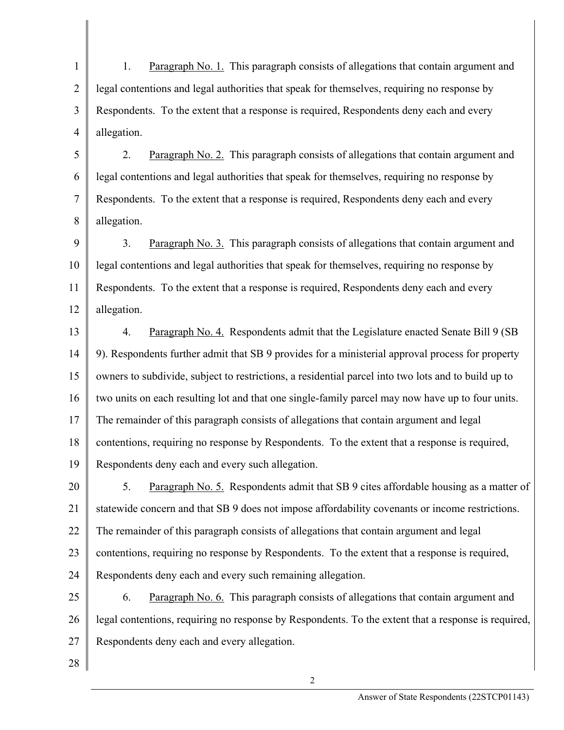1 2 3 4 1. Paragraph No. 1. This paragraph consists of allegations that contain argument and legal contentions and legal authorities that speak for themselves, requiring no response by Respondents. To the extent that a response is required, Respondents deny each and every allegation.

5 6 7 8 2. Paragraph No. 2. This paragraph consists of allegations that contain argument and legal contentions and legal authorities that speak for themselves, requiring no response by Respondents. To the extent that a response is required, Respondents deny each and every allegation.

9 10 11 12 3. Paragraph No. 3. This paragraph consists of allegations that contain argument and legal contentions and legal authorities that speak for themselves, requiring no response by Respondents. To the extent that a response is required, Respondents deny each and every allegation.

13 14 15 16 17 18 19 4. Paragraph No. 4. Respondents admit that the Legislature enacted Senate Bill 9 (SB 9). Respondents further admit that SB 9 provides for a ministerial approval process for property owners to subdivide, subject to restrictions, a residential parcel into two lots and to build up to two units on each resulting lot and that one single-family parcel may now have up to four units. The remainder of this paragraph consists of allegations that contain argument and legal contentions, requiring no response by Respondents. To the extent that a response is required, Respondents deny each and every such allegation.

20 21 22 23 24 5. Paragraph No. 5. Respondents admit that SB 9 cites affordable housing as a matter of statewide concern and that SB 9 does not impose affordability covenants or income restrictions. The remainder of this paragraph consists of allegations that contain argument and legal contentions, requiring no response by Respondents. To the extent that a response is required, Respondents deny each and every such remaining allegation.

25 26 27 6. Paragraph No. 6. This paragraph consists of allegations that contain argument and legal contentions, requiring no response by Respondents. To the extent that a response is required, Respondents deny each and every allegation.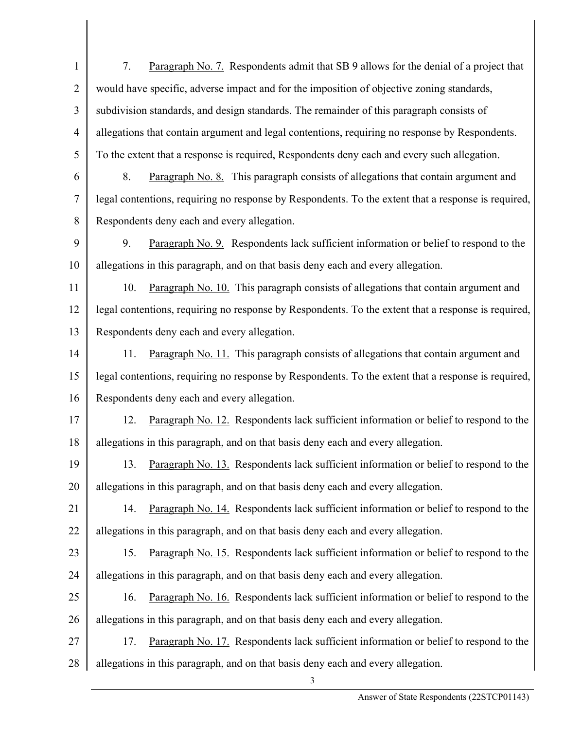1 2 3 4 5 6 7 8 9 10 11 12 13 14 15 16 17 18 19 20 21 22 23 24 25 26 27 28 3 7. Paragraph No. 7. Respondents admit that SB 9 allows for the denial of a project that would have specific, adverse impact and for the imposition of objective zoning standards, subdivision standards, and design standards. The remainder of this paragraph consists of allegations that contain argument and legal contentions, requiring no response by Respondents. To the extent that a response is required, Respondents deny each and every such allegation. 8. Paragraph No. 8. This paragraph consists of allegations that contain argument and legal contentions, requiring no response by Respondents. To the extent that a response is required, Respondents deny each and every allegation. 9. Paragraph No. 9. Respondents lack sufficient information or belief to respond to the allegations in this paragraph, and on that basis deny each and every allegation. 10. Paragraph No. 10. This paragraph consists of allegations that contain argument and legal contentions, requiring no response by Respondents. To the extent that a response is required, Respondents deny each and every allegation. 11. Paragraph No. 11. This paragraph consists of allegations that contain argument and legal contentions, requiring no response by Respondents. To the extent that a response is required, Respondents deny each and every allegation. 12. Paragraph No. 12. Respondents lack sufficient information or belief to respond to the allegations in this paragraph, and on that basis deny each and every allegation. 13. Paragraph No. 13. Respondents lack sufficient information or belief to respond to the allegations in this paragraph, and on that basis deny each and every allegation. 14. Paragraph No. 14. Respondents lack sufficient information or belief to respond to the allegations in this paragraph, and on that basis deny each and every allegation. 15. Paragraph No. 15. Respondents lack sufficient information or belief to respond to the allegations in this paragraph, and on that basis deny each and every allegation. 16. Paragraph No. 16. Respondents lack sufficient information or belief to respond to the allegations in this paragraph, and on that basis deny each and every allegation. 17. Paragraph No. 17. Respondents lack sufficient information or belief to respond to the allegations in this paragraph, and on that basis deny each and every allegation.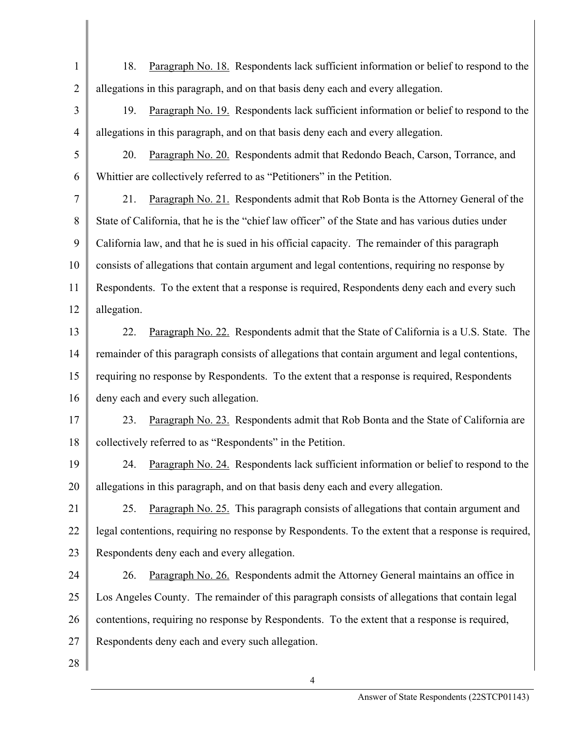- 1 2 18. Paragraph No. 18. Respondents lack sufficient information or belief to respond to the allegations in this paragraph, and on that basis deny each and every allegation.
- 3 4 19. Paragraph No. 19. Respondents lack sufficient information or belief to respond to the allegations in this paragraph, and on that basis deny each and every allegation.
- 5 6 20. Paragraph No. 20. Respondents admit that Redondo Beach, Carson, Torrance, and Whittier are collectively referred to as "Petitioners" in the Petition.
- 7 8 9 10 11 12 21. Paragraph No. 21. Respondents admit that Rob Bonta is the Attorney General of the State of California, that he is the "chief law officer" of the State and has various duties under California law, and that he is sued in his official capacity. The remainder of this paragraph consists of allegations that contain argument and legal contentions, requiring no response by Respondents. To the extent that a response is required, Respondents deny each and every such allegation.
- 13 14 15 16 22. Paragraph No. 22. Respondents admit that the State of California is a U.S. State. The remainder of this paragraph consists of allegations that contain argument and legal contentions, requiring no response by Respondents. To the extent that a response is required, Respondents deny each and every such allegation.
- 17 18 23. Paragraph No. 23. Respondents admit that Rob Bonta and the State of California are collectively referred to as "Respondents" in the Petition.
- 19 20 24. Paragraph No. 24. Respondents lack sufficient information or belief to respond to the allegations in this paragraph, and on that basis deny each and every allegation.
- 21 22 23 25. Paragraph No. 25. This paragraph consists of allegations that contain argument and legal contentions, requiring no response by Respondents. To the extent that a response is required, Respondents deny each and every allegation.
- 24 25 26 27 26. Paragraph No. 26. Respondents admit the Attorney General maintains an office in Los Angeles County. The remainder of this paragraph consists of allegations that contain legal contentions, requiring no response by Respondents. To the extent that a response is required, Respondents deny each and every such allegation.
- 28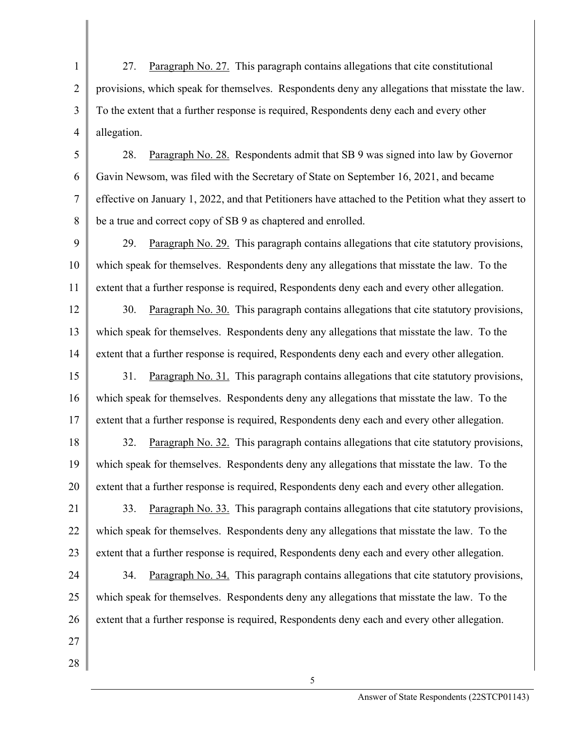1 2 3 4 27. Paragraph No. 27. This paragraph contains allegations that cite constitutional provisions, which speak for themselves. Respondents deny any allegations that misstate the law. To the extent that a further response is required, Respondents deny each and every other allegation.

5 6 7 8 28. Paragraph No. 28. Respondents admit that SB 9 was signed into law by Governor Gavin Newsom, was filed with the Secretary of State on September 16, 2021, and became effective on January 1, 2022, and that Petitioners have attached to the Petition what they assert to be a true and correct copy of SB 9 as chaptered and enrolled.

9 10 11 29. Paragraph No. 29. This paragraph contains allegations that cite statutory provisions, which speak for themselves. Respondents deny any allegations that misstate the law. To the extent that a further response is required, Respondents deny each and every other allegation.

12 13 14 30. Paragraph No. 30. This paragraph contains allegations that cite statutory provisions, which speak for themselves. Respondents deny any allegations that misstate the law. To the extent that a further response is required, Respondents deny each and every other allegation.

15 16 17 31. Paragraph No. 31. This paragraph contains allegations that cite statutory provisions, which speak for themselves. Respondents deny any allegations that misstate the law. To the extent that a further response is required, Respondents deny each and every other allegation.

18 19 20 32. Paragraph No. 32. This paragraph contains allegations that cite statutory provisions, which speak for themselves. Respondents deny any allegations that misstate the law. To the extent that a further response is required, Respondents deny each and every other allegation.

21 22 23 33. Paragraph No. 33. This paragraph contains allegations that cite statutory provisions, which speak for themselves. Respondents deny any allegations that misstate the law. To the extent that a further response is required, Respondents deny each and every other allegation.

24 25 26 34. Paragraph No. 34. This paragraph contains allegations that cite statutory provisions, which speak for themselves. Respondents deny any allegations that misstate the law. To the extent that a further response is required, Respondents deny each and every other allegation.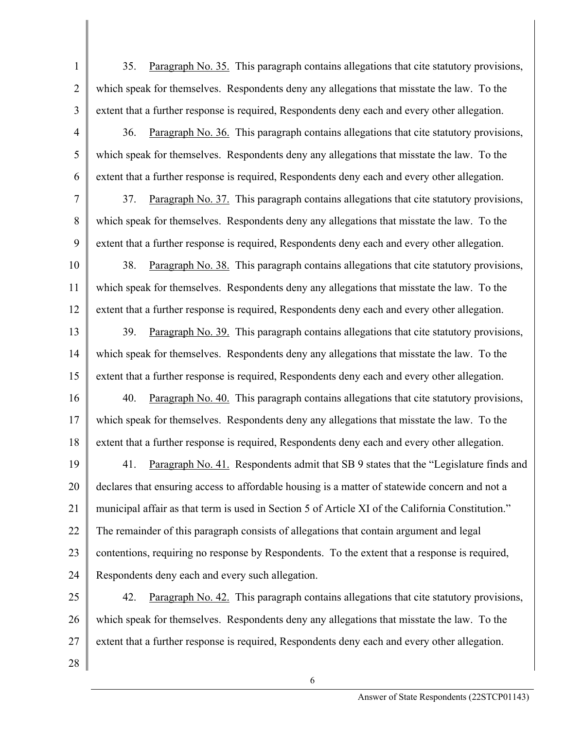1 2 3 35. Paragraph No. 35. This paragraph contains allegations that cite statutory provisions, which speak for themselves. Respondents deny any allegations that misstate the law. To the extent that a further response is required, Respondents deny each and every other allegation.

36. Paragraph No. 36. This paragraph contains allegations that cite statutory provisions, which speak for themselves. Respondents deny any allegations that misstate the law. To the extent that a further response is required, Respondents deny each and every other allegation.

37. Paragraph No. 37. This paragraph contains allegations that cite statutory provisions, which speak for themselves. Respondents deny any allegations that misstate the law. To the extent that a further response is required, Respondents deny each and every other allegation.

10 11 12 38. Paragraph No. 38. This paragraph contains allegations that cite statutory provisions, which speak for themselves. Respondents deny any allegations that misstate the law. To the extent that a further response is required, Respondents deny each and every other allegation.

13 14 15 39. Paragraph No. 39. This paragraph contains allegations that cite statutory provisions, which speak for themselves. Respondents deny any allegations that misstate the law. To the extent that a further response is required, Respondents deny each and every other allegation.

16 17 18 40. Paragraph No. 40. This paragraph contains allegations that cite statutory provisions, which speak for themselves. Respondents deny any allegations that misstate the law. To the extent that a further response is required, Respondents deny each and every other allegation.

19 20 21 22 23 24 41. Paragraph No. 41. Respondents admit that SB 9 states that the "Legislature finds and declares that ensuring access to affordable housing is a matter of statewide concern and not a municipal affair as that term is used in Section 5 of Article XI of the California Constitution." The remainder of this paragraph consists of allegations that contain argument and legal contentions, requiring no response by Respondents. To the extent that a response is required, Respondents deny each and every such allegation.

25 26 27 42. Paragraph No. 42. This paragraph contains allegations that cite statutory provisions, which speak for themselves. Respondents deny any allegations that misstate the law. To the extent that a further response is required, Respondents deny each and every other allegation.

6

28

4

5

6

7

8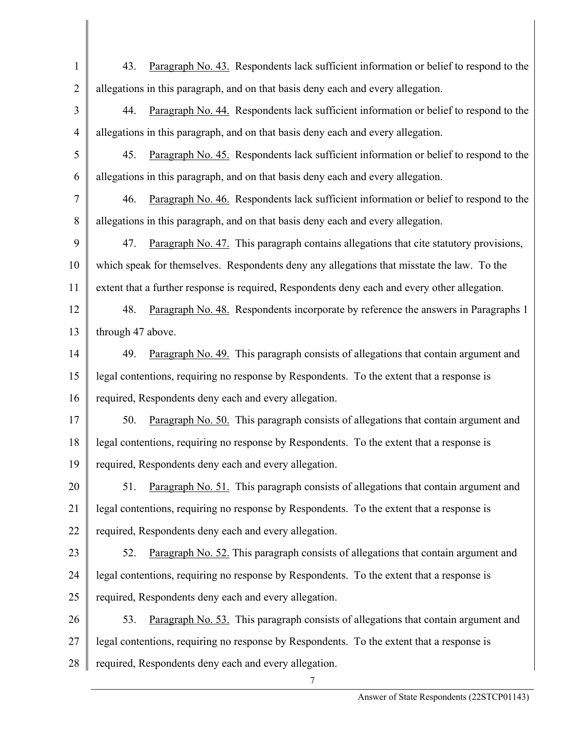1 2 3 4 5 6 7 8 9 10 11 12 13 14 15 16 17 18 19 20 21 22 23 24 25 26 27 28 7 43. Paragraph No. 43. Respondents lack sufficient information or belief to respond to the allegations in this paragraph, and on that basis deny each and every allegation. 44. Paragraph No. 44. Respondents lack sufficient information or belief to respond to the allegations in this paragraph, and on that basis deny each and every allegation. 45. Paragraph No. 45. Respondents lack sufficient information or belief to respond to the allegations in this paragraph, and on that basis deny each and every allegation. 46. Paragraph No. 46. Respondents lack sufficient information or belief to respond to the allegations in this paragraph, and on that basis deny each and every allegation. 47. Paragraph No. 47. This paragraph contains allegations that cite statutory provisions, which speak for themselves. Respondents deny any allegations that misstate the law. To the extent that a further response is required, Respondents deny each and every other allegation. 48. Paragraph No. 48. Respondents incorporate by reference the answers in Paragraphs 1 through 47 above. 49. Paragraph No. 49. This paragraph consists of allegations that contain argument and legal contentions, requiring no response by Respondents. To the extent that a response is required, Respondents deny each and every allegation. 50. Paragraph No. 50. This paragraph consists of allegations that contain argument and legal contentions, requiring no response by Respondents. To the extent that a response is required, Respondents deny each and every allegation. 51. Paragraph No. 51. This paragraph consists of allegations that contain argument and legal contentions, requiring no response by Respondents. To the extent that a response is required, Respondents deny each and every allegation. 52. Paragraph No. 52. This paragraph consists of allegations that contain argument and legal contentions, requiring no response by Respondents. To the extent that a response is required, Respondents deny each and every allegation. 53. Paragraph No. 53. This paragraph consists of allegations that contain argument and legal contentions, requiring no response by Respondents. To the extent that a response is required, Respondents deny each and every allegation.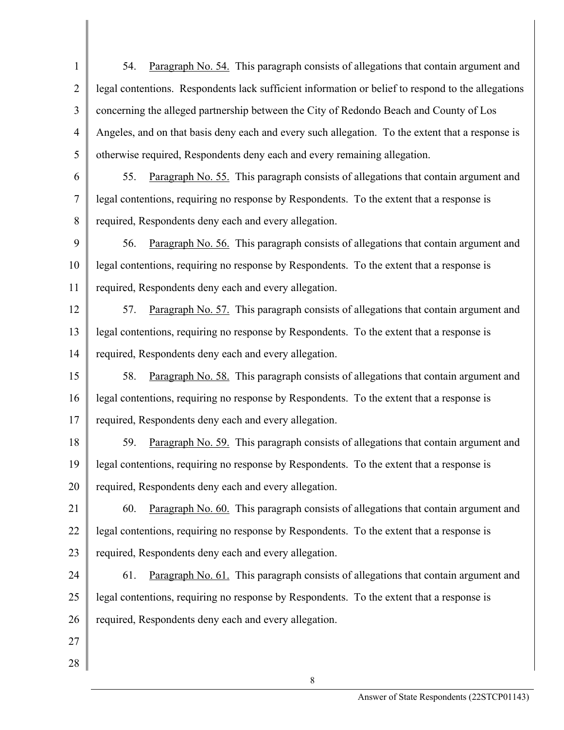1 2 3 4 5 54. Paragraph No. 54. This paragraph consists of allegations that contain argument and legal contentions. Respondents lack sufficient information or belief to respond to the allegations concerning the alleged partnership between the City of Redondo Beach and County of Los Angeles, and on that basis deny each and every such allegation. To the extent that a response is otherwise required, Respondents deny each and every remaining allegation.

6

7

8

55. Paragraph No. 55. This paragraph consists of allegations that contain argument and legal contentions, requiring no response by Respondents. To the extent that a response is required, Respondents deny each and every allegation.

9 10 11 56. Paragraph No. 56. This paragraph consists of allegations that contain argument and legal contentions, requiring no response by Respondents. To the extent that a response is required, Respondents deny each and every allegation.

12 13 14 57. Paragraph No. 57. This paragraph consists of allegations that contain argument and legal contentions, requiring no response by Respondents. To the extent that a response is required, Respondents deny each and every allegation.

15 16 17 58. Paragraph No. 58. This paragraph consists of allegations that contain argument and legal contentions, requiring no response by Respondents. To the extent that a response is required, Respondents deny each and every allegation.

18 19 20 59. Paragraph No. 59. This paragraph consists of allegations that contain argument and legal contentions, requiring no response by Respondents. To the extent that a response is required, Respondents deny each and every allegation.

21 22 23 60. Paragraph No. 60. This paragraph consists of allegations that contain argument and legal contentions, requiring no response by Respondents. To the extent that a response is required, Respondents deny each and every allegation.

24 25 26 61. Paragraph No. 61. This paragraph consists of allegations that contain argument and legal contentions, requiring no response by Respondents. To the extent that a response is required, Respondents deny each and every allegation.

- 27
- 28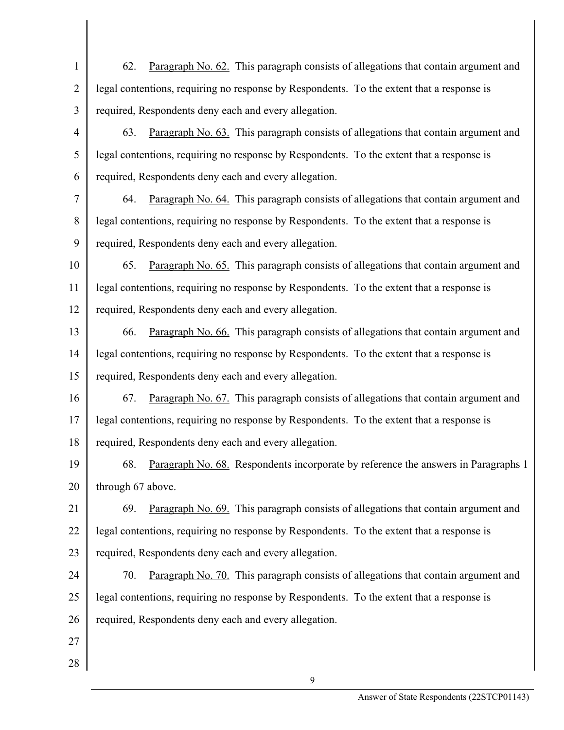- 1 2 3 62. Paragraph No. 62. This paragraph consists of allegations that contain argument and legal contentions, requiring no response by Respondents. To the extent that a response is required, Respondents deny each and every allegation.
- 4 5 6 63. Paragraph No. 63. This paragraph consists of allegations that contain argument and legal contentions, requiring no response by Respondents. To the extent that a response is required, Respondents deny each and every allegation.
- 7 8 9 64. Paragraph No. 64. This paragraph consists of allegations that contain argument and legal contentions, requiring no response by Respondents. To the extent that a response is required, Respondents deny each and every allegation.
- 10 11 12 65. Paragraph No. 65. This paragraph consists of allegations that contain argument and legal contentions, requiring no response by Respondents. To the extent that a response is required, Respondents deny each and every allegation.
- 13 14 15 66. Paragraph No. 66. This paragraph consists of allegations that contain argument and legal contentions, requiring no response by Respondents. To the extent that a response is required, Respondents deny each and every allegation.
- 16 17 18 67. Paragraph No. 67. This paragraph consists of allegations that contain argument and legal contentions, requiring no response by Respondents. To the extent that a response is required, Respondents deny each and every allegation.
- 19 20 68. Paragraph No. 68. Respondents incorporate by reference the answers in Paragraphs 1 through 67 above.
- 21 22 23 69. Paragraph No. 69. This paragraph consists of allegations that contain argument and legal contentions, requiring no response by Respondents. To the extent that a response is required, Respondents deny each and every allegation.
- 24 25 26 70. Paragraph No. 70. This paragraph consists of allegations that contain argument and legal contentions, requiring no response by Respondents. To the extent that a response is required, Respondents deny each and every allegation.
- 27
- 28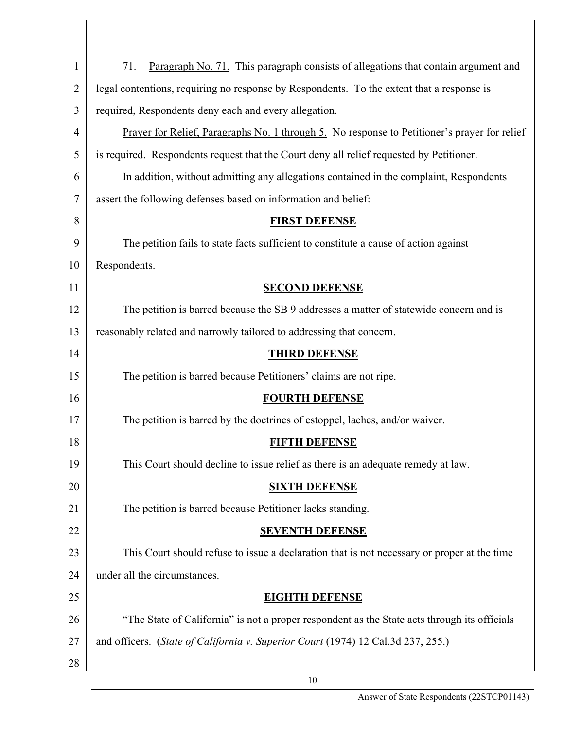| $\mathbf{1}$   | Paragraph No. 71. This paragraph consists of allegations that contain argument and<br>71.    |
|----------------|----------------------------------------------------------------------------------------------|
| $\overline{2}$ | legal contentions, requiring no response by Respondents. To the extent that a response is    |
| 3              | required, Respondents deny each and every allegation.                                        |
| $\overline{4}$ | Prayer for Relief, Paragraphs No. 1 through 5. No response to Petitioner's prayer for relief |
| 5              | is required. Respondents request that the Court deny all relief requested by Petitioner.     |
| 6              | In addition, without admitting any allegations contained in the complaint, Respondents       |
| 7              | assert the following defenses based on information and belief:                               |
| 8              | <b>FIRST DEFENSE</b>                                                                         |
| 9              | The petition fails to state facts sufficient to constitute a cause of action against         |
| 10             | Respondents.                                                                                 |
| 11             | <b>SECOND DEFENSE</b>                                                                        |
| 12             | The petition is barred because the SB 9 addresses a matter of statewide concern and is       |
| 13             | reasonably related and narrowly tailored to addressing that concern.                         |
| 14             | <b>THIRD DEFENSE</b>                                                                         |
| 15             | The petition is barred because Petitioners' claims are not ripe.                             |
| 16             | <b>FOURTH DEFENSE</b>                                                                        |
| 17             | The petition is barred by the doctrines of estoppel, laches, and/or waiver.                  |
| 18             | <b>FIFTH DEFENSE</b>                                                                         |
| 19             | This Court should decline to issue relief as there is an adequate remedy at law.             |
| 20             | <b>SIXTH DEFENSE</b>                                                                         |
| 21             | The petition is barred because Petitioner lacks standing.                                    |
| 22             | <b>SEVENTH DEFENSE</b>                                                                       |
| 23             | This Court should refuse to issue a declaration that is not necessary or proper at the time  |
| 24             | under all the circumstances.                                                                 |
| 25             | <b>EIGHTH DEFENSE</b>                                                                        |
| 26             | "The State of California" is not a proper respondent as the State acts through its officials |
| 27             | and officers. (State of California v. Superior Court (1974) 12 Cal.3d 237, 255.)             |
| 28             |                                                                                              |